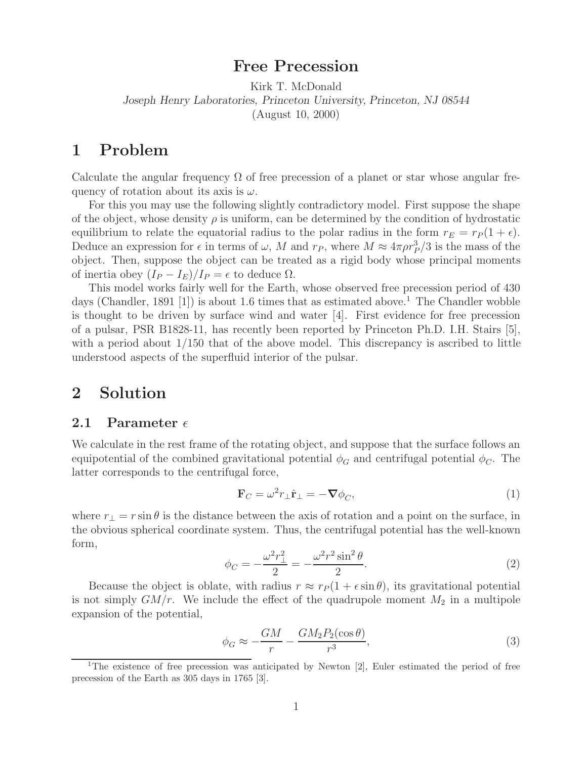## **Free Precession**

Kirk T. McDonald *Joseph Henry Laboratories, Princeton University, Princeton, NJ 08544* (August 10, 2000)

## **1 Problem**

Calculate the angular frequency  $\Omega$  of free precession of a planet or star whose angular frequency of rotation about its axis is  $\omega$ .

For this you may use the following slightly contradictory model. First suppose the shape of the object, whose density  $\rho$  is uniform, can be determined by the condition of hydrostatic equilibrium to relate the equatorial radius to the polar radius in the form  $r_E = r_P (1 + \epsilon)$ . Deduce an expression for  $\epsilon$  in terms of  $\omega$ , M and  $r_P$ , where  $M \approx 4\pi \rho r_P^3/3$  is the mass of the object. Then, suppose the object can be treated as a rigid body whose principal moments of inertia obey  $(I_P - I_E)/I_P = \epsilon$  to deduce  $\Omega$ .

This model works fairly well for the Earth, whose observed free precession period of 430 days (Chandler, 1891 [1]) is about 1.6 times that as estimated above.<sup>1</sup> The Chandler wobble is thought to be driven by surface wind and water [4]. First evidence for free precession of a pulsar, PSR B1828-11, has recently been reported by Princeton Ph.D. I.H. Stairs [5], with a period about 1/150 that of the above model. This discrepancy is ascribed to little understood aspects of the superfluid interior of the pulsar.

### **2 Solution**

#### **2.1 Parameter**

We calculate in the rest frame of the rotating object, and suppose that the surface follows an equipotential of the combined gravitational potential  $\phi_G$  and centrifugal potential  $\phi_C$ . The latter corresponds to the centrifugal force,

$$
\mathbf{F}_C = \omega^2 r_\perp \hat{\mathbf{r}}_\perp = -\nabla \phi_C,\tag{1}
$$

where  $r_{\perp} = r \sin \theta$  is the distance between the axis of rotation and a point on the surface, in the obvious spherical coordinate system. Thus, the centrifugal potential has the well-known form,

$$
\phi_C = -\frac{\omega^2 r_{\perp}^2}{2} = -\frac{\omega^2 r^2 \sin^2 \theta}{2}.
$$
\n(2)

Because the object is oblate, with radius  $r \approx r_P(1 + \epsilon \sin \theta)$ , its gravitational potential is not simply  $GM/r$ . We include the effect of the quadrupole moment  $M_2$  in a multipole expansion of the potential,

$$
\phi_G \approx -\frac{GM}{r} - \frac{GM_2 P_2(\cos \theta)}{r^3},\tag{3}
$$

<sup>&</sup>lt;sup>1</sup>The existence of free precession was anticipated by Newton [2], Euler estimated the period of free precession of the Earth as 305 days in 1765 [3].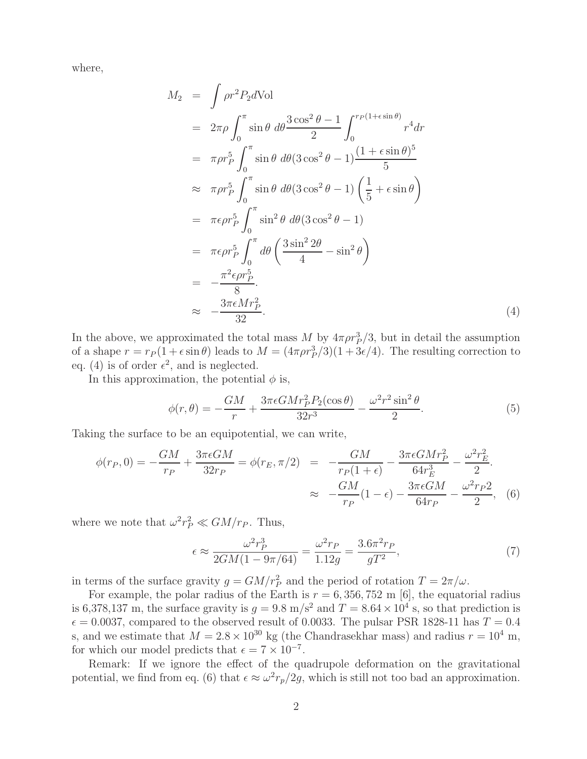where,

$$
M_2 = \int \rho r^2 P_2 d\text{Vol}
$$
  
\n
$$
= 2\pi \rho \int_0^{\pi} \sin \theta \, d\theta \frac{3 \cos^2 \theta - 1}{2} \int_0^{r_P(1 + \epsilon \sin \theta)} r^4 dr
$$
  
\n
$$
= \pi \rho r_P^5 \int_0^{\pi} \sin \theta \, d\theta (3 \cos^2 \theta - 1) \frac{(1 + \epsilon \sin \theta)^5}{5}
$$
  
\n
$$
\approx \pi \rho r_P^5 \int_0^{\pi} \sin \theta \, d\theta (3 \cos^2 \theta - 1) \left(\frac{1}{5} + \epsilon \sin \theta\right)
$$
  
\n
$$
= \pi \epsilon \rho r_P^5 \int_0^{\pi} \sin^2 \theta \, d\theta (3 \cos^2 \theta - 1)
$$
  
\n
$$
= \pi \epsilon \rho r_P^5 \int_0^{\pi} d\theta \left(\frac{3 \sin^2 2\theta}{4} - \sin^2 \theta\right)
$$
  
\n
$$
= -\frac{\pi^2 \epsilon \rho r_P^5}{8}
$$
  
\n
$$
\approx -\frac{3\pi \epsilon M r_P^2}{32}.
$$
 (4)

In the above, we approximated the total mass M by  $4\pi \rho r_p^3/3$ , but in detail the assumption of a shape  $r = r_P(1 + \epsilon \sin \theta)$  leads to  $M = (4\pi \rho r_P^3/3)(1 + 3\epsilon/4)$ . The resulting correction to eq. (4) is of order  $\epsilon^2$ , and is neglected.

In this approximation, the potential  $\phi$  is,

$$
\phi(r,\theta) = -\frac{GM}{r} + \frac{3\pi\epsilon GMr_P^2 P_2(\cos\theta)}{32r^3} - \frac{\omega^2 r^2 \sin^2\theta}{2}.
$$
\n(5)

Taking the surface to be an equipotential, we can write,

$$
\phi(r_P, 0) = -\frac{GM}{r_P} + \frac{3\pi \epsilon GM}{32r_P} = \phi(r_E, \pi/2) = -\frac{GM}{r_P(1+\epsilon)} - \frac{3\pi \epsilon GMr_P^2}{64r_E^3} - \frac{\omega^2 r_E^2}{2}.
$$
  

$$
\approx -\frac{GM}{r_P}(1-\epsilon) - \frac{3\pi \epsilon GM}{64r_P} - \frac{\omega^2 r_P^2}{2}, \quad (6)
$$

where we note that  $\omega^2 r_P^2 \ll GM/r_P$ . Thus,

$$
\epsilon \approx \frac{\omega^2 r_P^3}{2GM(1 - 9\pi/64)} = \frac{\omega^2 r_P}{1.12g} = \frac{3.6\pi^2 r_P}{gT^2},\tag{7}
$$

in terms of the surface gravity  $g = GM/r_P^2$  and the period of rotation  $T = 2\pi/\omega$ .

For example, the polar radius of the Earth is  $r = 6,356,752$  m [6], the equatorial radius is 6,378,137 m, the surface gravity is  $g = 9.8$  m/s<sup>2</sup> and  $T = 8.64 \times 10^4$  s, so that prediction is  $\epsilon = 0.0037$ , compared to the observed result of 0.0033. The pulsar PSR 1828-11 has  $T = 0.4$ s, and we estimate that  $M = 2.8 \times 10^{30}$  kg (the Chandrasekhar mass) and radius  $r = 10^4$  m, for which our model predicts that  $\epsilon = 7 \times 10^{-7}$ .

Remark: If we ignore the effect of the quadrupole deformation on the gravitational potential, we find from eq. (6) that  $\epsilon \approx \omega^2 r_p/2g$ , which is still not too bad an approximation.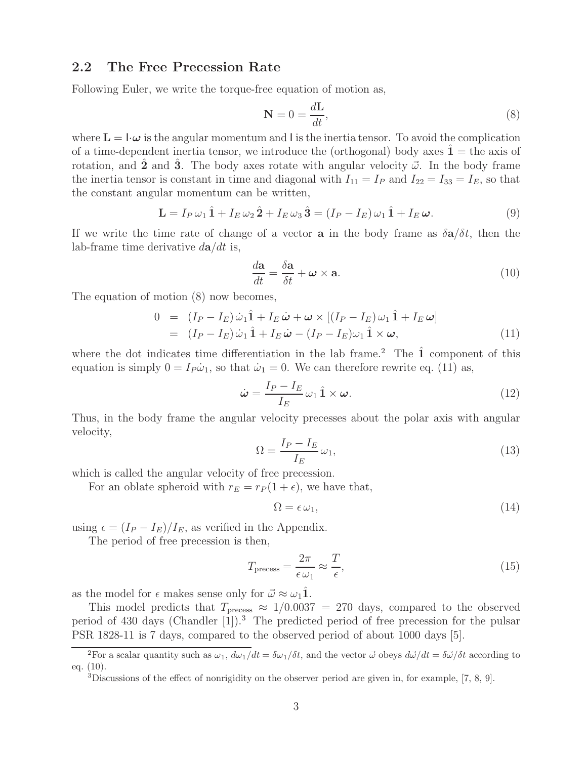#### **2.2 The Free Precession Rate**

Following Euler, we write the torque-free equation of motion as,

$$
\mathbf{N} = 0 = \frac{d\mathbf{L}}{dt},\tag{8}
$$

where  $\mathbf{L} = \mathbf{I} \cdot \boldsymbol{\omega}$  is the angular momentum and l is the inertia tensor. To avoid the complication of a time-dependent inertia tensor, we introduce the (orthogonal) body axes  $\mathbf{1} =$  the axis of rotation, and **2** and **3**. The body axes rotate with angular velocity  $\vec{\omega}$ . In the body frame the inertia tensor is constant in time and diagonal with  $I_{11} = I_P$  and  $I_{22} = I_{33} = I_E$ , so that the constant angular momentum can be written,

$$
\mathbf{L} = I_P \omega_1 \hat{\mathbf{1}} + I_E \omega_2 \hat{\mathbf{2}} + I_E \omega_3 \hat{\mathbf{3}} = (I_P - I_E) \omega_1 \hat{\mathbf{1}} + I_E \boldsymbol{\omega}.
$$
\n(9)

If we write the time rate of change of a vector **a** in the body frame as  $\delta \mathbf{a}/\delta t$ , then the lab-frame time derivative  $d\mathbf{a}/dt$  is,

$$
\frac{d\mathbf{a}}{dt} = \frac{\delta \mathbf{a}}{\delta t} + \boldsymbol{\omega} \times \mathbf{a}.\tag{10}
$$

The equation of motion (8) now becomes,

$$
0 = (I_P - I_E)\dot{\omega}_1 \hat{\mathbf{1}} + I_E \dot{\boldsymbol{\omega}} + \boldsymbol{\omega} \times [(I_P - I_E)\omega_1 \hat{\mathbf{1}} + I_E \boldsymbol{\omega}]
$$
  
=  $(I_P - I_E)\dot{\omega}_1 \hat{\mathbf{1}} + I_E \dot{\boldsymbol{\omega}} - (I_P - I_E)\omega_1 \hat{\mathbf{1}} \times \boldsymbol{\omega},$  (11)

where the dot indicates time differentiation in the lab frame.<sup>2</sup> The  $\hat{1}$  component of this equation is simply  $0 = I_P \dot{\omega}_1$ , so that  $\dot{\omega}_1 = 0$ . We can therefore rewrite eq. (11) as,

$$
\dot{\boldsymbol{\omega}} = \frac{I_P - I_E}{I_E} \omega_1 \hat{\mathbf{1}} \times \boldsymbol{\omega}.
$$
\n(12)

Thus, in the body frame the angular velocity precesses about the polar axis with angular velocity,

$$
\Omega = \frac{I_P - I_E}{I_E} \omega_1,\tag{13}
$$

which is called the angular velocity of free precession.

For an oblate spheroid with  $r_E = r_P (1 + \epsilon)$ , we have that,

$$
\Omega = \epsilon \,\omega_1,\tag{14}
$$

using  $\epsilon = (I_P - I_E)/I_E$ , as verified in the Appendix.

The period of free precession is then,

$$
T_{\text{precess}} = \frac{2\pi}{\epsilon \omega_1} \approx \frac{T}{\epsilon},\tag{15}
$$

as the model for  $\epsilon$  makes sense only for  $\vec{\omega} \approx \omega_1 \hat{1}$ .

This model predicts that  $T_{\text{precess}} \approx 1/0.0037 = 270$  days, compared to the observed period of 430 days (Chandler  $[1]$ ).<sup>3</sup> The predicted period of free precession for the pulsar PSR 1828-11 is 7 days, compared to the observed period of about 1000 days [5].

<sup>&</sup>lt;sup>2</sup>For a scalar quantity such as  $\omega_1$ ,  $d\omega_1/dt = \delta\omega_1/\delta t$ , and the vector  $\vec{\omega}$  obeys  $d\vec{\omega}/dt = \delta\vec{\omega}/\delta t$  according to eq. (10).

 $3$ Discussions of the effect of nonrigidity on the observer period are given in, for example, [7, 8, 9].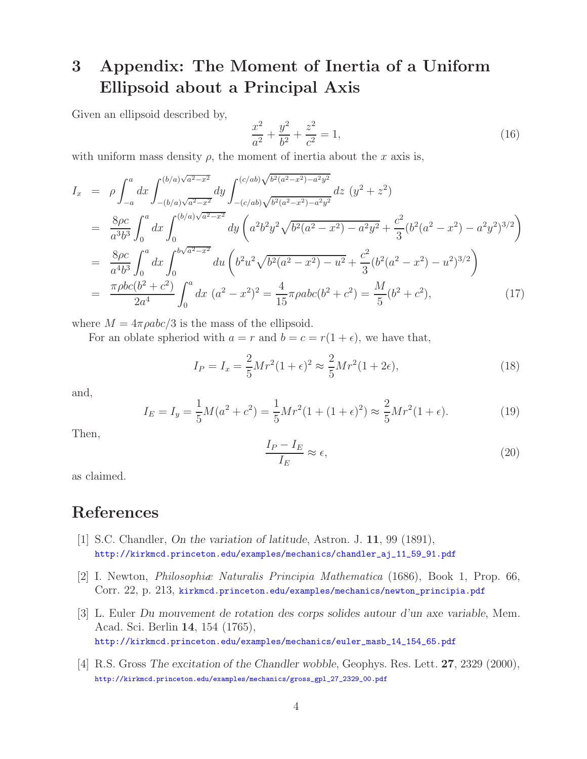# **3 Appendix: The Moment of Inertia of a Uniform Ellipsoid about a Principal Axis**

Given an ellipsoid described by,

$$
\frac{x^2}{a^2} + \frac{y^2}{b^2} + \frac{z^2}{c^2} = 1,
$$
\n(16)

with uniform mass density  $\rho$ , the moment of inertia about the x axis is,

$$
I_x = \rho \int_{-a}^{a} dx \int_{-(b/a)\sqrt{a^2 - x^2}}^{(b/a)\sqrt{a^2 - x^2}} dy \int_{-(c/ab)\sqrt{b^2(a^2 - x^2) - a^2y^2}}^{(c/ab)\sqrt{b^2(a^2 - x^2) - a^2y^2}} dz (y^2 + z^2)
$$
  
\n
$$
= \frac{8\rho c}{a^3b^3} \int_{0}^{a} dx \int_{0}^{(b/a)\sqrt{a^2 - x^2}} dy \left( a^2b^2y^2\sqrt{b^2(a^2 - x^2) - a^2y^2} + \frac{c^2}{3}(b^2(a^2 - x^2) - a^2y^2)^{3/2} \right)
$$
  
\n
$$
= \frac{8\rho c}{a^4b^3} \int_{0}^{a} dx \int_{0}^{b\sqrt{a^2 - x^2}} du \left( b^2u^2\sqrt{b^2(a^2 - x^2) - u^2} + \frac{c^2}{3}(b^2(a^2 - x^2) - u^2)^{3/2} \right)
$$
  
\n
$$
= \frac{\pi \rho bc(b^2 + c^2)}{2a^4} \int_{0}^{a} dx (a^2 - x^2)^2 = \frac{4}{15}\pi \rho abc(b^2 + c^2) = \frac{M}{5}(b^2 + c^2),
$$
 (17)

where  $M = 4\pi \rho abc/3$  is the mass of the ellipsoid.

For an oblate spheriod with  $a = r$  and  $b = c = r(1 + \epsilon)$ , we have that,

$$
I_P = I_x = \frac{2}{5} M r^2 (1 + \epsilon)^2 \approx \frac{2}{5} M r^2 (1 + 2\epsilon),
$$
\n(18)

and,

$$
I_E = I_y = \frac{1}{5}M(a^2 + c^2) = \frac{1}{5}Mr^2(1 + (1 + \epsilon)^2) \approx \frac{2}{5}Mr^2(1 + \epsilon).
$$
 (19)

Then,

$$
\frac{I_P - I_E}{I_E} \approx \epsilon,\tag{20}
$$

as claimed.

## **References**

- [1] S.C. Chandler, *On the variation of latitude*, Astron. J. **11**, 99 (1891), http://kirkmcd.princeton.edu/examples/mechanics/chandler\_aj\_11\_59\_91.pdf
- [2] I. Newton, *Philosophiæ Naturalis Principia Mathematica* (1686), Book 1, Prop. 66, Corr. 22, p. 213, kirkmcd.princeton.edu/examples/mechanics/newton\_principia.pdf
- [3] L. Euler *Du mouvement de rotation des corps solides autour d'un axe variable*, Mem. Acad. Sci. Berlin **14**, 154 (1765), http://kirkmcd.princeton.edu/examples/mechanics/euler\_masb\_14\_154\_65.pdf
- [4] R.S. Gross *The excitation of the Chandler wobble*, Geophys. Res. Lett. **27**, 2329 (2000), http://kirkmcd.princeton.edu/examples/mechanics/gross\_gpl\_27\_2329\_00.pdf